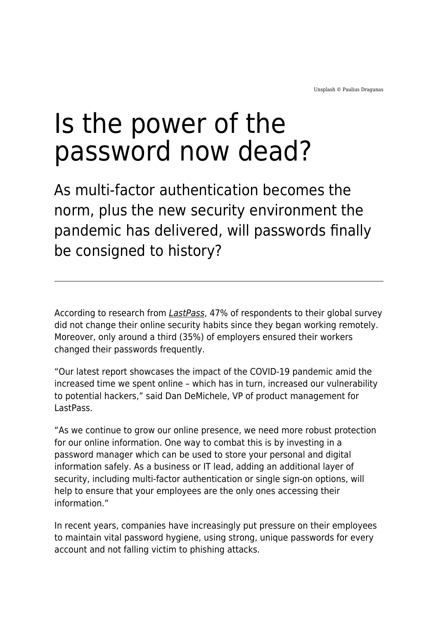## Is the power of the password now dead?

As multi-factor authentication becomes the norm, plus the new security environment the pandemic has delivered, will passwords finally be consigned to history?

According to research from *[LastPass](https://www.logmein.com/newsroom/press-release/2021/lastpass-psychology-of-passwords-report-finds-people-are-still-practicing-poor-password-hygiene-while-increasing-their-online-presence)*, 47% of respondents to their global survey did not change their online security habits since they began working remotely. Moreover, only around a third (35%) of employers ensured their workers changed their passwords frequently.

"Our latest report showcases the impact of the COVID-19 pandemic amid the increased time we spent online – which has in turn, increased our vulnerability to potential hackers," said Dan DeMichele, VP of product management for LastPass.

"As we continue to grow our online presence, we need more robust protection for our online information. One way to combat this is by investing in a password manager which can be used to store your personal and digital information safely. As a business or IT lead, adding an additional layer of security, including multi-factor authentication or single sign-on options, will help to ensure that your employees are the only ones accessing their information."

In recent years, companies have increasingly put pressure on their employees to maintain vital password hygiene, using strong, unique passwords for every account and not falling victim to phishing attacks.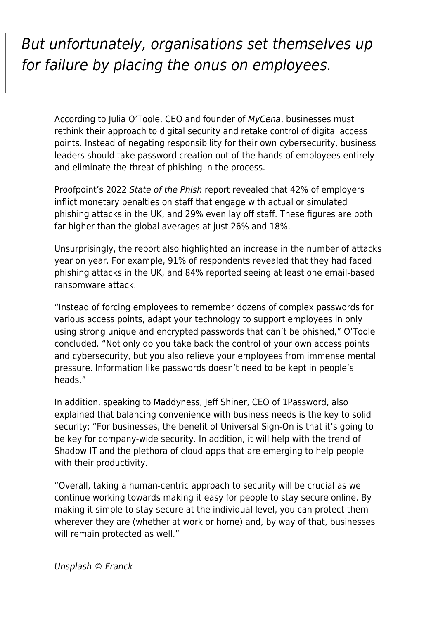## But unfortunately, organisations set themselves up for failure by placing the onus on employees.

According to Julia O'Toole, CEO and founder of [MyCena](http://mycena.co/), businesses must rethink their approach to digital security and retake control of digital access points. Instead of negating responsibility for their own cybersecurity, business leaders should take password creation out of the hands of employees entirely and eliminate the threat of phishing in the process.

Proofpoint's 2022 [State of the Phish](https://www.proofpoint.com/sites/default/files/threat-reports/pfpt-uk-tr-state-of-the-phish-2022.pdf) report revealed that 42% of employers inflict monetary penalties on staff that engage with actual or simulated phishing attacks in the UK, and 29% even lay off staff. These figures are both far higher than the global averages at just 26% and 18%.

Unsurprisingly, the report also highlighted an increase in the number of attacks year on year. For example, 91% of respondents revealed that they had faced phishing attacks in the UK, and 84% reported seeing at least one email-based ransomware attack.

"Instead of forcing employees to remember dozens of complex passwords for various access points, adapt your technology to support employees in only using strong unique and encrypted passwords that can't be phished," O'Toole concluded. "Not only do you take back the control of your own access points and cybersecurity, but you also relieve your employees from immense mental pressure. Information like passwords doesn't need to be kept in people's heads."

In addition, speaking to Maddyness, Jeff Shiner, CEO of 1Password, also explained that balancing convenience with business needs is the key to solid security: "For businesses, the benefit of Universal Sign-On is that it's going to be key for company-wide security. In addition, it will help with the trend of Shadow IT and the plethora of cloud apps that are emerging to help people with their productivity.

"Overall, taking a human-centric approach to security will be crucial as we continue working towards making it easy for people to stay secure online. By making it simple to stay secure at the individual level, you can protect them wherever they are (whether at work or home) and, by way of that, businesses will remain protected as well."

Unsplash © Franck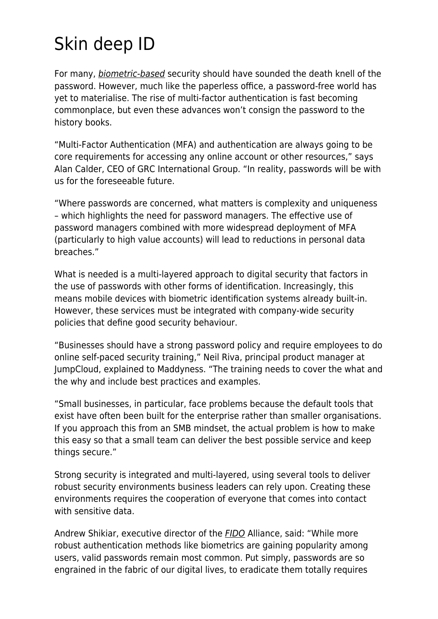## Skin deep ID

For many, *[biometric-based](https://www.maddyness.com/uk/2021/10/20/when-it-comes-to-biometrics-are-our-bodies-the-best-tool-to-protect-privacy/)* security should have sounded the death knell of the password. However, much like the paperless office, a password-free world has yet to materialise. The rise of multi-factor authentication is fast becoming commonplace, but even these advances won't consign the password to the history books.

"Multi-Factor Authentication (MFA) and authentication are always going to be core requirements for accessing any online account or other resources," says Alan Calder, CEO of GRC International Group. "In reality, passwords will be with us for the foreseeable future.

"Where passwords are concerned, what matters is complexity and uniqueness – which highlights the need for password managers. The effective use of password managers combined with more widespread deployment of MFA (particularly to high value accounts) will lead to reductions in personal data breaches."

What is needed is a multi-layered approach to digital security that factors in the use of passwords with other forms of identification. Increasingly, this means mobile devices with biometric identification systems already built-in. However, these services must be integrated with company-wide security policies that define good security behaviour.

"Businesses should have a strong password policy and require employees to do online self-paced security training," Neil Riva, principal product manager at JumpCloud, explained to Maddyness. "The training needs to cover the what and the why and include best practices and examples.

"Small businesses, in particular, face problems because the default tools that exist have often been built for the enterprise rather than smaller organisations. If you approach this from an SMB mindset, the actual problem is how to make this easy so that a small team can deliver the best possible service and keep things secure."

Strong security is integrated and multi-layered, using several tools to deliver robust security environments business leaders can rely upon. Creating these environments requires the cooperation of everyone that comes into contact with sensitive data.

Andrew Shikiar, executive director of the [FIDO](https://fidoalliance.org/what-is-fido/) Alliance, said: "While more robust authentication methods like biometrics are gaining popularity among users, valid passwords remain most common. Put simply, passwords are so engrained in the fabric of our digital lives, to eradicate them totally requires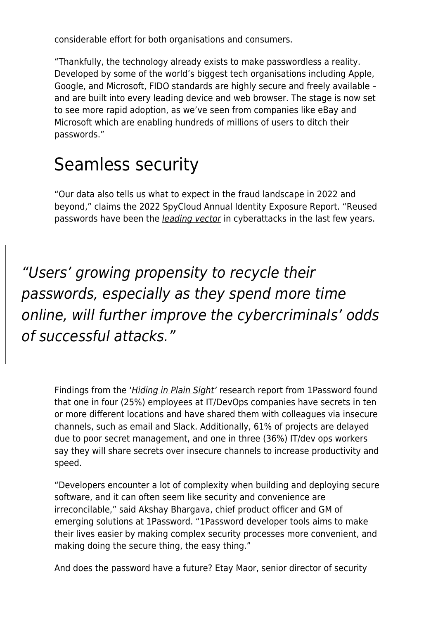considerable effort for both organisations and consumers.

"Thankfully, the technology already exists to make passwordless a reality. Developed by some of the world's biggest tech organisations including Apple, Google, and Microsoft, FIDO standards are highly secure and freely available – and are built into every leading device and web browser. The stage is now set to see more rapid adoption, as we've seen from companies like eBay and Microsoft which are enabling hundreds of millions of users to ditch their passwords."

## Seamless security

"Our data also tells us what to expect in the fraud landscape in 2022 and beyond," claims the 2022 SpyCloud Annual Identity Exposure Report. "Reused passwords have been the [leading vector](https://spycloud.com/highlights-from-the-verizon-2021-data-breach-investigations-report/) in cyberattacks in the last few years.

"Users' growing propensity to recycle their passwords, especially as they spend more time online, will further improve the cybercriminals' odds of successful attacks."

Findings from the '*[Hiding in Plain Sight](https://1password.com/resources/risks-of-mismanaging-corporate-secrets/)'* research report from 1Password found that one in four (25%) employees at IT/DevOps companies have secrets in ten or more different locations and have shared them with colleagues via insecure channels, such as email and Slack. Additionally, 61% of projects are delayed due to poor secret management, and one in three (36%) IT/dev ops workers say they will share secrets over insecure channels to increase productivity and speed.

"Developers encounter a lot of complexity when building and deploying secure software, and it can often seem like security and convenience are irreconcilable," said Akshay Bhargava, chief product officer and GM of emerging solutions at 1Password. "1Password developer tools aims to make their lives easier by making complex security processes more convenient, and making doing the secure thing, the easy thing."

And does the password have a future? Etay Maor, senior director of security